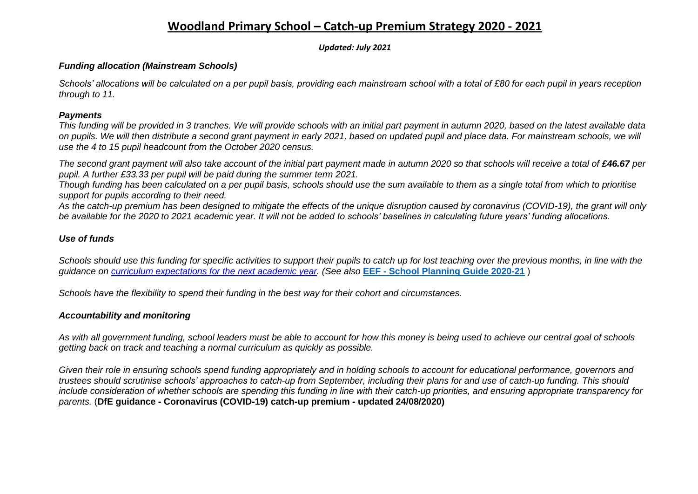## **Woodland Primary School – Catch-up Premium Strategy 2020 - 2021**

*Updated: July 2021*

### *Funding allocation (Mainstream Schools)*

*Schools' allocations will be calculated on a per pupil basis, providing each mainstream school with a total of £80 for each pupil in years reception through to 11.*

#### *Payments*

*This funding will be provided in 3 tranches. We will provide schools with an initial part payment in autumn 2020, based on the latest available data on pupils. We will then distribute a second grant payment in early 2021, based on updated pupil and place data. For mainstream schools, we will use the 4 to 15 pupil headcount from the October 2020 census.*

*The second grant payment will also take account of the initial part payment made in autumn 2020 so that schools will receive a total of £46.67 per pupil. A further £33.33 per pupil will be paid during the summer term 2021.*

*Though funding has been calculated on a per pupil basis, schools should use the sum available to them as a single total from which to prioritise support for pupils according to their need.*

*As the catch-up premium has been designed to mitigate the effects of the unique disruption caused by coronavirus (COVID-19), the grant will only be available for the 2020 to 2021 academic year. It will not be added to schools' baselines in calculating future years' funding allocations.*

## *Use of funds*

*Schools should use this funding for specific activities to support their pupils to catch up for lost teaching over the previous months, in line with the guidance on [curriculum expectations for the next academic year.](https://www.gov.uk/government/publications/actions-for-schools-during-the-coronavirus-outbreak/guidance-for-full-opening-schools#section-3-curriculum-behaviour-and-pastoral-support) (See also* **EEF - [School Planning Guide 2020-21](https://educationendowmentfoundation.org.uk/covid-19-resources/guide-to-supporting-schools-planning/)** )

*Schools have the flexibility to spend their funding in the best way for their cohort and circumstances.*

### *Accountability and monitoring*

*As with all government funding, school leaders must be able to account for how this money is being used to achieve our central goal of schools getting back on track and teaching a normal curriculum as quickly as possible.*

*Given their role in ensuring schools spend funding appropriately and in holding schools to account for educational performance, governors and trustees should scrutinise schools' approaches to catch-up from September, including their plans for and use of catch-up funding. This should include consideration of whether schools are spending this funding in line with their catch-up priorities, and ensuring appropriate transparency for parents.* (**DfE guidance - Coronavirus (COVID-19) catch-up premium - updated 24/08/2020)**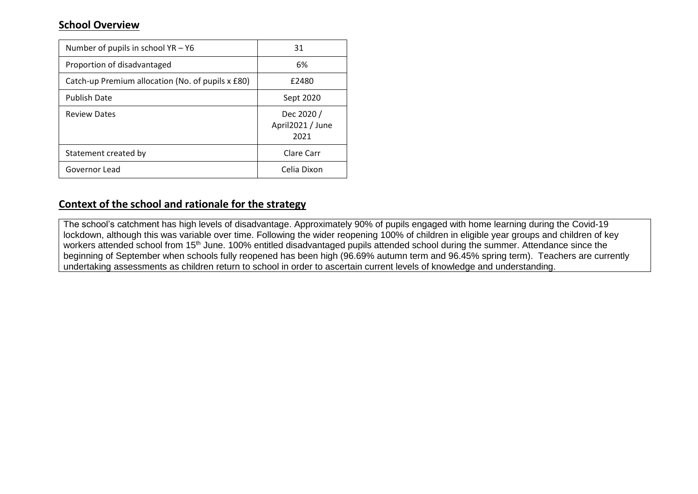## **School Overview**

| Number of pupils in school $YA - Y6$              | 31                                     |
|---------------------------------------------------|----------------------------------------|
| Proportion of disadvantaged                       | 6%                                     |
| Catch-up Premium allocation (No. of pupils x £80) | £2480                                  |
| <b>Publish Date</b>                               | Sept 2020                              |
| <b>Review Dates</b>                               | Dec 2020 /<br>April2021 / June<br>2021 |
| Statement created by                              | Clare Carr                             |
| Governor Lead                                     | Celia Dixon                            |

## **Context of the school and rationale for the strategy**

The school's catchment has high levels of disadvantage. Approximately 90% of pupils engaged with home learning during the Covid-19 lockdown, although this was variable over time. Following the wider reopening 100% of children in eligible year groups and children of key workers attended school from 15<sup>th</sup> June. 100% entitled disadvantaged pupils attended school during the summer. Attendance since the beginning of September when schools fully reopened has been high (96.69% autumn term and 96.45% spring term). Teachers are currently undertaking assessments as children return to school in order to ascertain current levels of knowledge and understanding.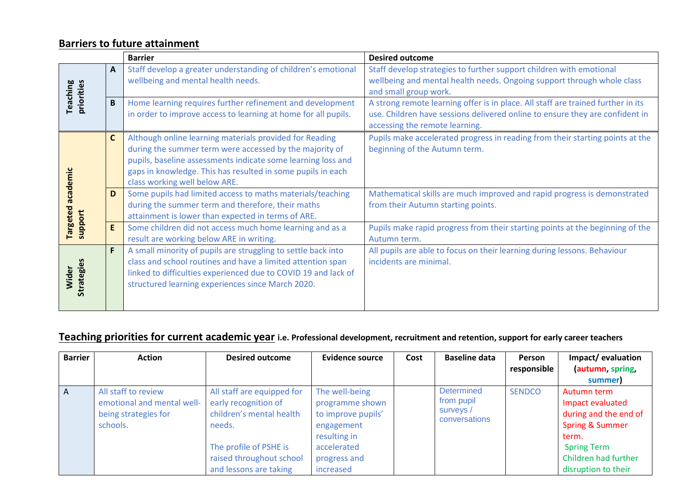## **Barriers to future attainment**

|                               |              | <b>Barrier</b>                                                                                                                                                                                                                                                                     | <b>Desired outcome</b>                                                                                                                                                                             |  |  |  |  |
|-------------------------------|--------------|------------------------------------------------------------------------------------------------------------------------------------------------------------------------------------------------------------------------------------------------------------------------------------|----------------------------------------------------------------------------------------------------------------------------------------------------------------------------------------------------|--|--|--|--|
|                               | $\mathbf{A}$ | Staff develop a greater understanding of children's emotional<br>wellbeing and mental health needs.                                                                                                                                                                                | Staff develop strategies to further support children with emotional<br>wellbeing and mental health needs. Ongoing support through whole class                                                      |  |  |  |  |
|                               |              |                                                                                                                                                                                                                                                                                    | and small group work.                                                                                                                                                                              |  |  |  |  |
| priorities<br><b>Teaching</b> | B            | Home learning requires further refinement and development<br>in order to improve access to learning at home for all pupils.                                                                                                                                                        | A strong remote learning offer is in place. All staff are trained further in its<br>use. Children have sessions delivered online to ensure they are confident in<br>accessing the remote learning. |  |  |  |  |
|                               | $\mathsf{C}$ | Although online learning materials provided for Reading<br>during the summer term were accessed by the majority of<br>pupils, baseline assessments indicate some learning loss and<br>gaps in knowledge. This has resulted in some pupils in each<br>class working well below ARE. | Pupils make accelerated progress in reading from their starting points at the<br>beginning of the Autumn term.                                                                                     |  |  |  |  |
| academic                      | D            | Some pupils had limited access to maths materials/teaching<br>during the summer term and therefore, their maths<br>attainment is lower than expected in terms of ARE.                                                                                                              | Mathematical skills are much improved and rapid progress is demonstrated<br>from their Autumn starting points.                                                                                     |  |  |  |  |
| <b>Targeted</b><br>support    | E            | Some children did not access much home learning and as a<br>result are working below ARE in writing.                                                                                                                                                                               | Pupils make rapid progress from their starting points at the beginning of the<br>Autumn term.                                                                                                      |  |  |  |  |
| Strategies<br>Wider           | F            | A small minority of pupils are struggling to settle back into<br>class and school routines and have a limited attention span<br>linked to difficulties experienced due to COVID 19 and lack of<br>structured learning experiences since March 2020.                                | All pupils are able to focus on their learning during lessons. Behaviour<br>incidents are minimal.                                                                                                 |  |  |  |  |

# **Teaching priorities for current academic year i.e. Professional development, recruitment and retention, support for early career teachers**

| <b>Barrier</b> | <b>Action</b>                                                                         | <b>Desired outcome</b>                                                                                                                                                   | Evidence source                                                                                                                   | Cost | <b>Baseline data</b>                                          | <b>Person</b><br>responsible | Impact/evaluation<br>autumn, spring,                                                                                                                                 |
|----------------|---------------------------------------------------------------------------------------|--------------------------------------------------------------------------------------------------------------------------------------------------------------------------|-----------------------------------------------------------------------------------------------------------------------------------|------|---------------------------------------------------------------|------------------------------|----------------------------------------------------------------------------------------------------------------------------------------------------------------------|
|                |                                                                                       |                                                                                                                                                                          |                                                                                                                                   |      |                                                               |                              | summer)                                                                                                                                                              |
| A              | All staff to review<br>emotional and mental well-<br>being strategies for<br>schools. | All staff are equipped for<br>early recognition of<br>children's mental health<br>needs.<br>The profile of PSHE is<br>raised throughout school<br>and lessons are taking | The well-being<br>programme shown<br>to improve pupils'<br>engagement<br>resulting in<br>accelerated<br>progress and<br>increased |      | <b>Determined</b><br>from pupil<br>surveys /<br>conversations | <b>SENDCO</b>                | Autumn term<br>Impact evaluated<br>during and the end of<br><b>Spring &amp; Summer</b><br>term.<br><b>Spring Term</b><br>Children had further<br>disruption to their |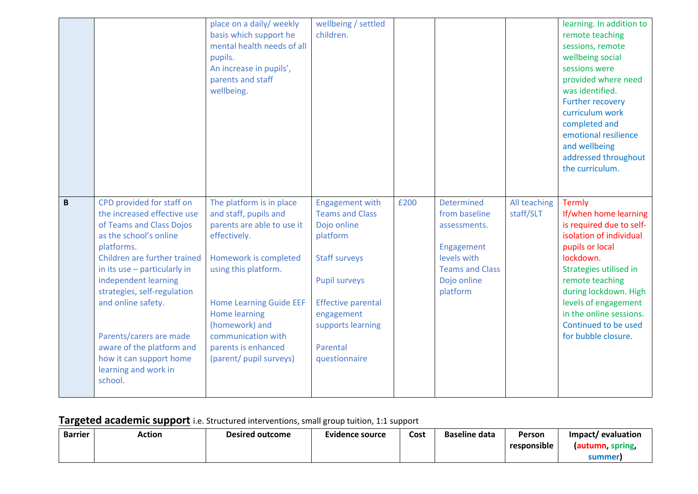|          |                                                                                                                                                                                                                                                                                                                                                                                                 | place on a daily/ weekly<br>basis which support he<br>mental health needs of all<br>pupils.<br>An increase in pupils',<br>parents and staff<br>wellbeing.                                                                                                                                            | wellbeing / settled<br>children.                                                                                                                                                                                         |      |                                                                                                                                      |                           | learning. In addition to<br>remote teaching<br>sessions, remote<br>wellbeing social<br>sessions were<br>provided where need<br>was identified.<br>Further recovery<br>curriculum work<br>completed and<br>emotional resilience<br>and wellbeing<br>addressed throughout<br>the curriculum.            |
|----------|-------------------------------------------------------------------------------------------------------------------------------------------------------------------------------------------------------------------------------------------------------------------------------------------------------------------------------------------------------------------------------------------------|------------------------------------------------------------------------------------------------------------------------------------------------------------------------------------------------------------------------------------------------------------------------------------------------------|--------------------------------------------------------------------------------------------------------------------------------------------------------------------------------------------------------------------------|------|--------------------------------------------------------------------------------------------------------------------------------------|---------------------------|-------------------------------------------------------------------------------------------------------------------------------------------------------------------------------------------------------------------------------------------------------------------------------------------------------|
| $\pmb B$ | CPD provided for staff on<br>the increased effective use<br>of Teams and Class Dojos<br>as the school's online<br>platforms.<br>Children are further trained<br>in its use - particularly in<br>independent learning<br>strategies, self-regulation<br>and online safety.<br>Parents/carers are made<br>aware of the platform and<br>how it can support home<br>learning and work in<br>school. | The platform is in place<br>and staff, pupils and<br>parents are able to use it<br>effectively.<br>Homework is completed<br>using this platform.<br><b>Home Learning Guide EEF</b><br><b>Home learning</b><br>(homework) and<br>communication with<br>parents is enhanced<br>(parent/ pupil surveys) | <b>Engagement with</b><br><b>Teams and Class</b><br>Dojo online<br>platform<br><b>Staff surveys</b><br><b>Pupil surveys</b><br><b>Effective parental</b><br>engagement<br>supports learning<br>Parental<br>questionnaire | £200 | <b>Determined</b><br>from baseline<br>assessments.<br>Engagement<br>levels with<br><b>Teams and Class</b><br>Dojo online<br>platform | All teaching<br>staff/SLT | <b>Termly</b><br>If/when home learning<br>is required due to self-<br>isolation of individual<br>pupils or local<br>lockdown.<br>Strategies utilised in<br>remote teaching<br>during lockdown. High<br>levels of engagement<br>in the online sessions.<br>Continued to be used<br>for bubble closure. |

# **Targeted academic support** i.e. Structured interventions, small group tuition, 1:1 support

| <b>Barrier</b> | <b>Action</b> | <b>Desired outcome</b> | <b>Evidence source</b> | Cost | <b>Baseline data</b> | Person                  | Impact/<br>' evaluation |
|----------------|---------------|------------------------|------------------------|------|----------------------|-------------------------|-------------------------|
|                |               |                        |                        |      |                      | $\cdots$<br>responsible | (autumn, spring,        |
|                |               |                        |                        |      |                      |                         | summer                  |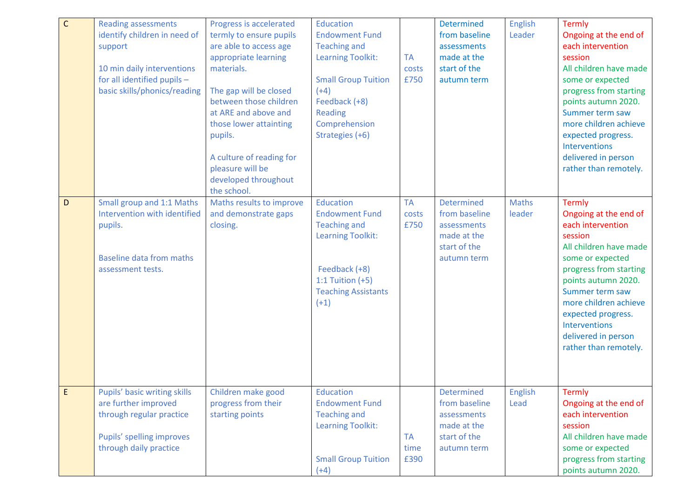| $\mathsf C$ | <b>Reading assessments</b><br>identify children in need of<br>support<br>10 min daily interventions<br>for all identified pupils -<br>basic skills/phonics/reading | Progress is accelerated<br>termly to ensure pupils<br>are able to access age<br>appropriate learning<br>materials.<br>The gap will be closed<br>between those children<br>at ARE and above and<br>those lower attainting<br>pupils.<br>A culture of reading for<br>pleasure will be<br>developed throughout<br>the school. | <b>Education</b><br><b>Endowment Fund</b><br><b>Teaching and</b><br><b>Learning Toolkit:</b><br><b>Small Group Tuition</b><br>$(+4)$<br>Feedback (+8)<br><b>Reading</b><br>Comprehension<br>Strategies (+6) | <b>TA</b><br>costs<br>£750 | <b>Determined</b><br>from baseline<br>assessments<br>made at the<br>start of the<br>autumn term | English<br>Leader      | <b>Termly</b><br>Ongoing at the end of<br>each intervention<br>session<br>All children have made<br>some or expected<br>progress from starting<br>points autumn 2020.<br>Summer term saw<br>more children achieve<br>expected progress.<br><b>Interventions</b><br>delivered in person<br>rather than remotely. |
|-------------|--------------------------------------------------------------------------------------------------------------------------------------------------------------------|----------------------------------------------------------------------------------------------------------------------------------------------------------------------------------------------------------------------------------------------------------------------------------------------------------------------------|-------------------------------------------------------------------------------------------------------------------------------------------------------------------------------------------------------------|----------------------------|-------------------------------------------------------------------------------------------------|------------------------|-----------------------------------------------------------------------------------------------------------------------------------------------------------------------------------------------------------------------------------------------------------------------------------------------------------------|
| $\mathsf D$ | Small group and 1:1 Maths<br>Intervention with identified<br>pupils.<br><b>Baseline data from maths</b><br>assessment tests.                                       | Maths results to improve<br>and demonstrate gaps<br>closing.                                                                                                                                                                                                                                                               | Education<br><b>Endowment Fund</b><br><b>Teaching and</b><br><b>Learning Toolkit:</b><br>Feedback (+8)<br>1:1 Tuition $(+5)$<br><b>Teaching Assistants</b><br>$(+1)$                                        | <b>TA</b><br>costs<br>£750 | <b>Determined</b><br>from baseline<br>assessments<br>made at the<br>start of the<br>autumn term | <b>Maths</b><br>leader | <b>Termly</b><br>Ongoing at the end of<br>each intervention<br>session<br>All children have made<br>some or expected<br>progress from starting<br>points autumn 2020.<br>Summer term saw<br>more children achieve<br>expected progress.<br><b>Interventions</b><br>delivered in person<br>rather than remotely. |
| E           | Pupils' basic writing skills<br>are further improved<br>through regular practice<br>Pupils' spelling improves<br>through daily practice                            | Children make good<br>progress from their<br>starting points                                                                                                                                                                                                                                                               | Education<br><b>Endowment Fund</b><br><b>Teaching and</b><br><b>Learning Toolkit:</b><br><b>Small Group Tuition</b><br>$(+4)$                                                                               | <b>TA</b><br>time<br>£390  | <b>Determined</b><br>from baseline<br>assessments<br>made at the<br>start of the<br>autumn term | <b>English</b><br>Lead | <b>Termly</b><br>Ongoing at the end of<br>each intervention<br>session<br>All children have made<br>some or expected<br>progress from starting<br>points autumn 2020.                                                                                                                                           |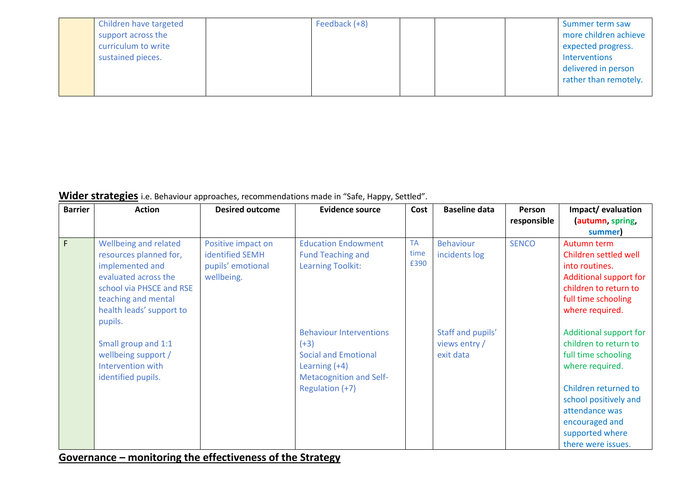| Children have targeted<br>support across the<br>curriculum to write<br>sustained pieces. | Feedback (+8) |  | Summer term saw<br>more children achieve<br>expected progress.<br>Interventions<br>delivered in person<br>rather than remotely. |
|------------------------------------------------------------------------------------------|---------------|--|---------------------------------------------------------------------------------------------------------------------------------|
|                                                                                          |               |  |                                                                                                                                 |

## **Wider strategies** i.e. Behaviour approaches, recommendations made in "Safe, Happy, Settled".

| <b>Barrier</b> | <b>Action</b>                                                                                                                                                                        | <b>Desired outcome</b>                                                          | Evidence source                                                                                                              | Cost                      | <b>Baseline data</b>                            | <b>Person</b><br>responsible | Impact/evaluation<br>(autumn, spring,                                                                                                               |
|----------------|--------------------------------------------------------------------------------------------------------------------------------------------------------------------------------------|---------------------------------------------------------------------------------|------------------------------------------------------------------------------------------------------------------------------|---------------------------|-------------------------------------------------|------------------------------|-----------------------------------------------------------------------------------------------------------------------------------------------------|
|                |                                                                                                                                                                                      |                                                                                 |                                                                                                                              |                           |                                                 |                              | summer)                                                                                                                                             |
| $\mathsf F$    | Wellbeing and related<br>resources planned for,<br>implemented and<br>evaluated across the<br>school via PHSCE and RSE<br>teaching and mental<br>health leads' support to<br>pupils. | Positive impact on<br><b>identified SEMH</b><br>pupils' emotional<br>wellbeing. | <b>Education Endowment</b><br><b>Fund Teaching and</b><br>Learning Toolkit:                                                  | <b>TA</b><br>time<br>£390 | <b>Behaviour</b><br>incidents log               | <b>SENCO</b>                 | Autumn term<br>Children settled well<br>into routines.<br>Additional support for<br>children to return to<br>full time schooling<br>where required. |
|                | Small group and 1:1<br>wellbeing support /<br>Intervention with<br>identified pupils.                                                                                                |                                                                                 | <b>Behaviour Interventions</b><br>$(+3)$<br><b>Social and Emotional</b><br>Learning $(+4)$<br><b>Metacognition and Self-</b> |                           | Staff and pupils'<br>views entry /<br>exit data |                              | Additional support for<br>children to return to<br>full time schooling<br>where required.                                                           |
|                |                                                                                                                                                                                      |                                                                                 | Regulation (+7)                                                                                                              |                           |                                                 |                              | Children returned to<br>school positively and<br>attendance was<br>encouraged and<br>supported where<br>there were issues.                          |

**Governance – monitoring the effectiveness of the Strategy**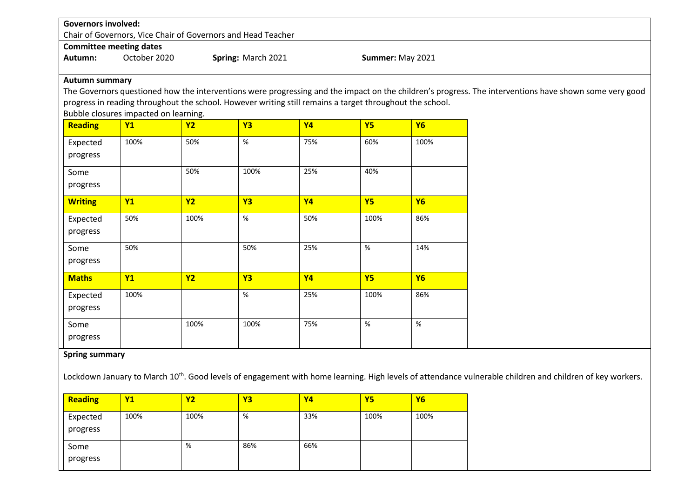|                                | <b>Governors involved:</b><br>Chair of Governors, Vice Chair of Governors and Head Teacher |           |                    |                                                                                                          |           |                  |                                                                                                                                                        |  |  |  |
|--------------------------------|--------------------------------------------------------------------------------------------|-----------|--------------------|----------------------------------------------------------------------------------------------------------|-----------|------------------|--------------------------------------------------------------------------------------------------------------------------------------------------------|--|--|--|
|                                |                                                                                            |           |                    |                                                                                                          |           |                  |                                                                                                                                                        |  |  |  |
| <b>Committee meeting dates</b> |                                                                                            |           |                    |                                                                                                          |           |                  |                                                                                                                                                        |  |  |  |
| Autumn:                        | October 2020                                                                               |           | Spring: March 2021 |                                                                                                          |           | Summer: May 2021 |                                                                                                                                                        |  |  |  |
| <b>Autumn summary</b>          |                                                                                            |           |                    |                                                                                                          |           |                  |                                                                                                                                                        |  |  |  |
|                                |                                                                                            |           |                    |                                                                                                          |           |                  | The Governors questioned how the interventions were progressing and the impact on the children's progress. The interventions have shown some very good |  |  |  |
|                                |                                                                                            |           |                    | progress in reading throughout the school. However writing still remains a target throughout the school. |           |                  |                                                                                                                                                        |  |  |  |
|                                | Bubble closures impacted on learning.                                                      |           |                    |                                                                                                          |           |                  |                                                                                                                                                        |  |  |  |
| <b>Reading</b>                 | Y1                                                                                         | <b>Y2</b> | <b>Y3</b>          | <b>Y4</b>                                                                                                | <b>Y5</b> | <b>Y6</b>        |                                                                                                                                                        |  |  |  |
| Expected                       | 100%                                                                                       | 50%       | $\%$               | 75%                                                                                                      | 60%       | 100%             |                                                                                                                                                        |  |  |  |
| progress                       |                                                                                            |           |                    |                                                                                                          |           |                  |                                                                                                                                                        |  |  |  |
| Some                           |                                                                                            | 50%       | 100%               | 25%                                                                                                      | 40%       |                  |                                                                                                                                                        |  |  |  |
|                                |                                                                                            |           |                    |                                                                                                          |           |                  |                                                                                                                                                        |  |  |  |
| progress                       |                                                                                            |           |                    |                                                                                                          |           |                  |                                                                                                                                                        |  |  |  |
| <b>Writing</b>                 | Y1                                                                                         | Y2        | <b>Y3</b>          | <b>Y4</b>                                                                                                | <b>Y5</b> | <b>Y6</b>        |                                                                                                                                                        |  |  |  |
| Expected                       | 50%                                                                                        | 100%      | $\%$               | 50%                                                                                                      | 100%      | 86%              |                                                                                                                                                        |  |  |  |
| progress                       |                                                                                            |           |                    |                                                                                                          |           |                  |                                                                                                                                                        |  |  |  |
| Some                           | 50%                                                                                        |           | 50%                | 25%                                                                                                      | $\%$      | 14%              |                                                                                                                                                        |  |  |  |
| progress                       |                                                                                            |           |                    |                                                                                                          |           |                  |                                                                                                                                                        |  |  |  |
| <b>Maths</b>                   | Y1                                                                                         | Y2        | <b>Y3</b>          | <b>Y4</b>                                                                                                | Y5        | <b>Y6</b>        |                                                                                                                                                        |  |  |  |
| Expected                       | 100%                                                                                       |           | %                  | 25%                                                                                                      | 100%      | 86%              |                                                                                                                                                        |  |  |  |
| progress                       |                                                                                            |           |                    |                                                                                                          |           |                  |                                                                                                                                                        |  |  |  |
|                                |                                                                                            |           |                    |                                                                                                          |           |                  |                                                                                                                                                        |  |  |  |
| Some                           |                                                                                            | 100%      | 100%               | 75%                                                                                                      | $\%$      | $\%$             |                                                                                                                                                        |  |  |  |
| progress                       |                                                                                            |           |                    |                                                                                                          |           |                  |                                                                                                                                                        |  |  |  |
| <b>Spring summary</b>          |                                                                                            |           |                    |                                                                                                          |           |                  |                                                                                                                                                        |  |  |  |
|                                |                                                                                            |           |                    |                                                                                                          |           |                  |                                                                                                                                                        |  |  |  |

Lockdown January to March 10<sup>th</sup>. Good levels of engagement with home learning. High levels of attendance vulnerable children and children of key workers.

| Reading              | <b>Y1</b> | <u>Y2</u> | Y3  | Υ4  | Y5   | <b>Y6</b> |
|----------------------|-----------|-----------|-----|-----|------|-----------|
| Expected<br>progress | 100%      | 100%      | %   | 33% | 100% | 100%      |
| Some<br>progress     |           | %         | 86% | 66% |      |           |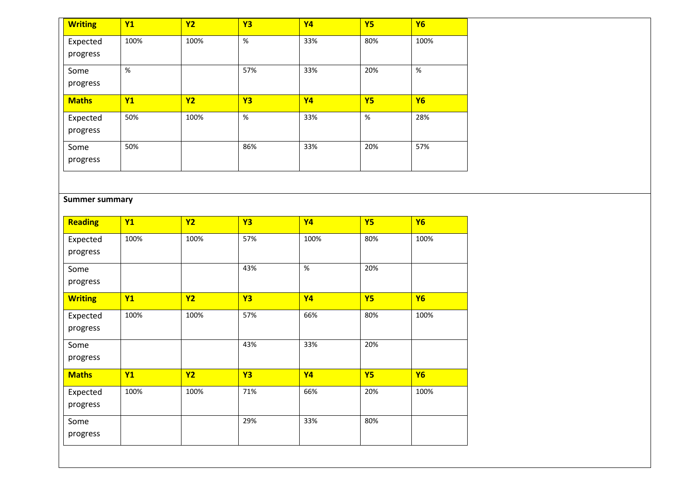| <b>Writing</b>       | <b>Y1</b> | <b>Y2</b> | <b>Y3</b> | <b>Y4</b> | <b>Y5</b> | <b>Y6</b> |
|----------------------|-----------|-----------|-----------|-----------|-----------|-----------|
| Expected<br>progress | 100%      | 100%      | $\%$      | 33%       | 80%       | 100%      |
| Some<br>progress     | %         |           | 57%       | 33%       | 20%       | %         |
|                      |           |           |           |           |           |           |
| <b>Maths</b>         | <b>Y1</b> | <b>Y2</b> | <b>Y3</b> | <b>Y4</b> | <b>Y5</b> | <b>Y6</b> |
| Expected<br>progress | 50%       | 100%      | %         | 33%       | %         | 28%       |

#### **Summer summary**

| <b>Reading</b>       | <b>Y1</b> | <b>Y2</b> | <b>Y3</b> | <b>Y4</b> | <b>Y5</b> | <b>Y6</b> |
|----------------------|-----------|-----------|-----------|-----------|-----------|-----------|
| Expected<br>progress | 100%      | 100%      | 57%       | 100%      | 80%       | 100%      |
| Some<br>progress     |           |           | 43%       | $\%$      | 20%       |           |
| <b>Writing</b>       | <b>Y1</b> | <b>Y2</b> | <b>Y3</b> | <b>Y4</b> | <b>Y5</b> | <b>Y6</b> |
| Expected<br>progress | 100%      | 100%      | 57%       | 66%       | 80%       | 100%      |
| Some<br>progress     |           |           | 43%       | 33%       | 20%       |           |
| <b>Maths</b>         | Y1        | <b>Y2</b> | <b>Y3</b> | <b>Y4</b> | <b>Y5</b> | <b>Y6</b> |
| Expected<br>progress | 100%      | 100%      | 71%       | 66%       | 20%       | 100%      |
| Some<br>progress     |           |           | 29%       | 33%       | 80%       |           |